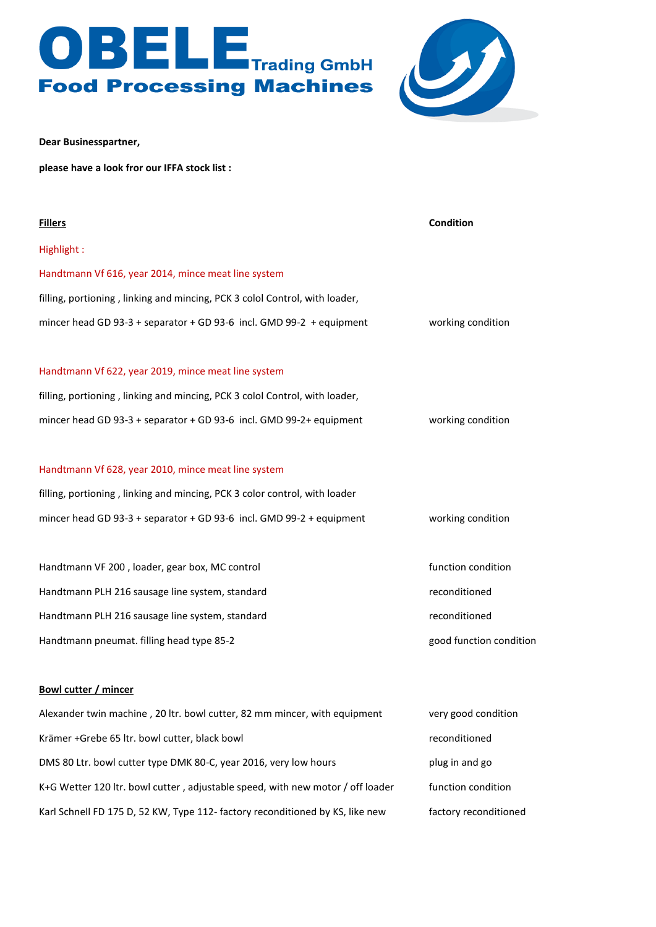**OBELE**<br>Food Processing Machines



**Dear Businesspartner,** 

**please have a look fror our IFFA stock list :**

| <b>Fillers</b>                                                              | Condition               |
|-----------------------------------------------------------------------------|-------------------------|
| Highlight:                                                                  |                         |
| Handtmann Vf 616, year 2014, mince meat line system                         |                         |
| filling, portioning, linking and mincing, PCK 3 colol Control, with loader, |                         |
| mincer head GD 93-3 + separator + GD 93-6 incl. GMD 99-2 + equipment        | working condition       |
|                                                                             |                         |
| Handtmann Vf 622, year 2019, mince meat line system                         |                         |
| filling, portioning, linking and mincing, PCK 3 colol Control, with loader, |                         |
| mincer head GD 93-3 + separator + GD 93-6 incl. GMD 99-2+ equipment         | working condition       |
|                                                                             |                         |
| Handtmann Vf 628, year 2010, mince meat line system                         |                         |
| filling, portioning, linking and mincing, PCK 3 color control, with loader  |                         |
| mincer head GD 93-3 + separator + GD 93-6 incl. GMD 99-2 + equipment        | working condition       |
|                                                                             |                         |
| Handtmann VF 200, loader, gear box, MC control                              | function condition      |
| Handtmann PLH 216 sausage line system, standard                             | reconditioned           |
| Handtmann PLH 216 sausage line system, standard                             | reconditioned           |
| Handtmann pneumat. filling head type 85-2                                   | good function condition |
|                                                                             |                         |
| Bowl cutter / mincer                                                        |                         |
|                                                                             |                         |

| Alexander twin machine, 20 ltr. bowl cutter, 82 mm mincer, with equipment      | very good condition   |
|--------------------------------------------------------------------------------|-----------------------|
| Krämer +Grebe 65 ltr. bowl cutter, black bowl                                  | reconditioned         |
| DMS 80 Ltr. bowl cutter type DMK 80-C, year 2016, very low hours               | plug in and go        |
| K+G Wetter 120 ltr. bowl cutter, adjustable speed, with new motor / off loader | function condition    |
| Karl Schnell FD 175 D, 52 KW, Type 112- factory reconditioned by KS, like new  | factory reconditioned |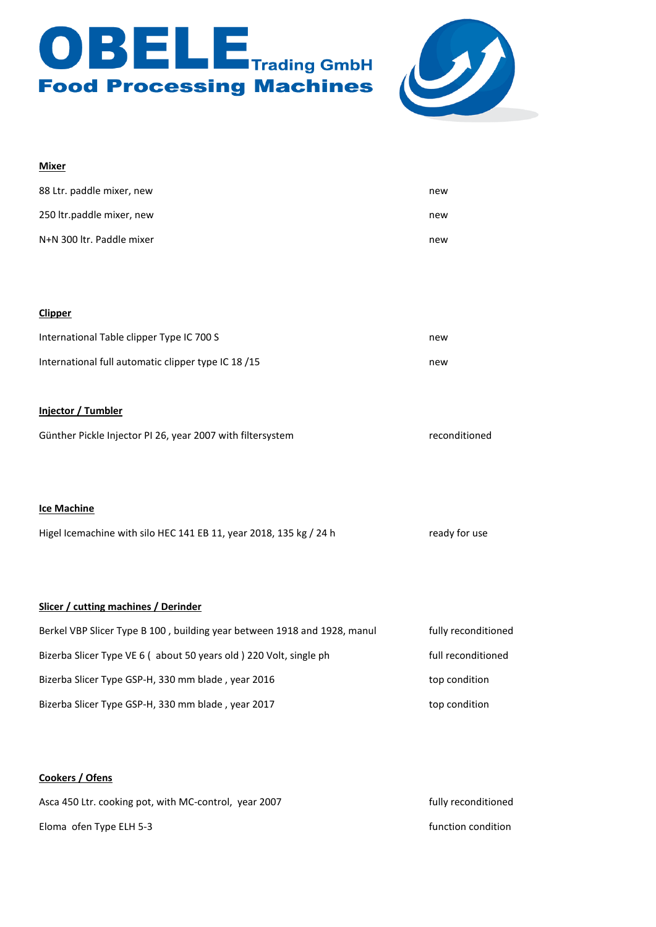



### **Mixer**

| 88 Ltr. paddle mixer, new                                          | new           |
|--------------------------------------------------------------------|---------------|
| 250 ltr.paddle mixer, new                                          | new           |
| N+N 300 ltr. Paddle mixer                                          | new           |
|                                                                    |               |
|                                                                    |               |
| <b>Clipper</b>                                                     |               |
| International Table clipper Type IC 700 S                          | new           |
| International full automatic clipper type IC 18 /15                | new           |
|                                                                    |               |
| Injector / Tumbler                                                 |               |
| Günther Pickle Injector PI 26, year 2007 with filtersystem         | reconditioned |
|                                                                    |               |
|                                                                    |               |
| <b>Ice Machine</b>                                                 |               |
| Higel Icemachine with silo HEC 141 EB 11, year 2018, 135 kg / 24 h | ready for use |
|                                                                    |               |
|                                                                    |               |

#### **Slicer / cutting machines / Derinder**

| Berkel VBP Slicer Type B 100, building year between 1918 and 1928, manul | fully reconditioned |
|--------------------------------------------------------------------------|---------------------|
| Bizerba Slicer Type VE 6 (about 50 years old) 220 Volt, single ph        | full reconditioned  |
| Bizerba Slicer Type GSP-H, 330 mm blade, year 2016                       | top condition       |
| Bizerba Slicer Type GSP-H, 330 mm blade, year 2017                       | top condition       |

# **Cookers / Ofens**

| Asca 450 Ltr. cooking pot, with MC-control, year 2007 | fully reconditioned |
|-------------------------------------------------------|---------------------|
| Eloma ofen Type ELH 5-3                               | function condition  |